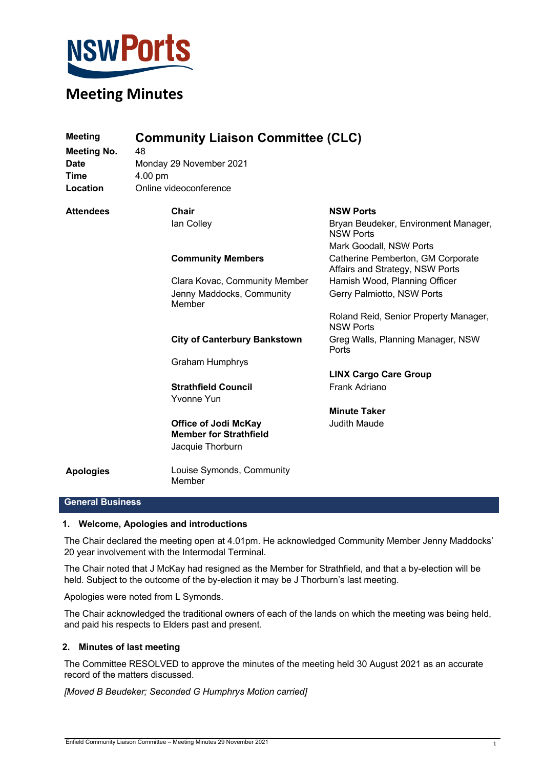

| <b>Meeting</b><br><b>Meeting No.</b> | <b>Community Liaison Committee (CLC)</b><br>48                                   |                                                                      |
|--------------------------------------|----------------------------------------------------------------------------------|----------------------------------------------------------------------|
| <b>Date</b>                          | Monday 29 November 2021                                                          |                                                                      |
| <b>Time</b>                          | 4.00 pm                                                                          |                                                                      |
| Location                             | Online videoconference                                                           |                                                                      |
| <b>Attendees</b>                     | <b>Chair</b>                                                                     | <b>NSW Ports</b>                                                     |
|                                      | lan Colley                                                                       | Bryan Beudeker, Environment Manager,<br><b>NSW Ports</b>             |
|                                      |                                                                                  | Mark Goodall, NSW Ports                                              |
|                                      | <b>Community Members</b>                                                         | Catherine Pemberton, GM Corporate<br>Affairs and Strategy, NSW Ports |
|                                      | Clara Kovac, Community Member                                                    | Hamish Wood, Planning Officer                                        |
|                                      | Jenny Maddocks, Community<br>Member                                              | Gerry Palmiotto, NSW Ports                                           |
|                                      |                                                                                  | Roland Reid, Senior Property Manager,<br><b>NSW Ports</b>            |
|                                      | <b>City of Canterbury Bankstown</b>                                              | Greg Walls, Planning Manager, NSW<br>Ports                           |
|                                      | <b>Graham Humphrys</b>                                                           |                                                                      |
|                                      |                                                                                  | <b>LINX Cargo Care Group</b>                                         |
|                                      | <b>Strathfield Council</b><br>Yvonne Yun                                         | Frank Adriano                                                        |
|                                      |                                                                                  | <b>Minute Taker</b>                                                  |
|                                      | <b>Office of Jodi McKay</b><br><b>Member for Strathfield</b><br>Jacquie Thorburn | <b>Judith Maude</b>                                                  |
| <b>Apologies</b>                     | Louise Symonds, Community<br>Member                                              |                                                                      |

## **General Business**

#### **1. Welcome, Apologies and introductions**

The Chair declared the meeting open at 4.01pm. He acknowledged Community Member Jenny Maddocks' 20 year involvement with the Intermodal Terminal.

The Chair noted that J McKay had resigned as the Member for Strathfield, and that a by-election will be held. Subject to the outcome of the by-election it may be J Thorburn's last meeting.

Apologies were noted from L Symonds.

The Chair acknowledged the traditional owners of each of the lands on which the meeting was being held, and paid his respects to Elders past and present.

#### **2. Minutes of last meeting**

The Committee RESOLVED to approve the minutes of the meeting held 30 August 2021 as an accurate record of the matters discussed.

*[Moved B Beudeker; Seconded G Humphrys Motion carried]*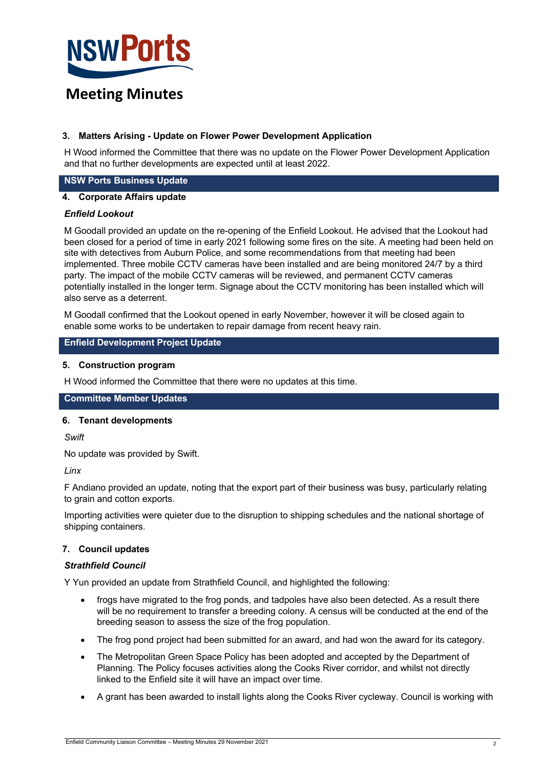

## **3. Matters Arising - Update on Flower Power Development Application**

H Wood informed the Committee that there was no update on the Flower Power Development Application and that no further developments are expected until at least 2022.

### **NSW Ports Business Update**

## **4. Corporate Affairs update**

#### *Enfield Lookout*

M Goodall provided an update on the re-opening of the Enfield Lookout. He advised that the Lookout had been closed for a period of time in early 2021 following some fires on the site. A meeting had been held on site with detectives from Auburn Police, and some recommendations from that meeting had been implemented. Three mobile CCTV cameras have been installed and are being monitored 24/7 by a third party. The impact of the mobile CCTV cameras will be reviewed, and permanent CCTV cameras potentially installed in the longer term. Signage about the CCTV monitoring has been installed which will also serve as a deterrent.

M Goodall confirmed that the Lookout opened in early November, however it will be closed again to enable some works to be undertaken to repair damage from recent heavy rain.

#### **Enfield Development Project Update**

#### **5. Construction program**

H Wood informed the Committee that there were no updates at this time.

## **Committee Member Updates**

#### **6. Tenant developments**

*Swift*

No update was provided by Swift.

*Linx*

F Andiano provided an update, noting that the export part of their business was busy, particularly relating to grain and cotton exports.

Importing activities were quieter due to the disruption to shipping schedules and the national shortage of shipping containers.

## **7. Council updates**

#### *Strathfield Council*

Y Yun provided an update from Strathfield Council, and highlighted the following:

- frogs have migrated to the frog ponds, and tadpoles have also been detected. As a result there will be no requirement to transfer a breeding colony. A census will be conducted at the end of the breeding season to assess the size of the frog population.
- The frog pond project had been submitted for an award, and had won the award for its category.
- The Metropolitan Green Space Policy has been adopted and accepted by the Department of Planning. The Policy focuses activities along the Cooks River corridor, and whilst not directly linked to the Enfield site it will have an impact over time.
- A grant has been awarded to install lights along the Cooks River cycleway. Council is working with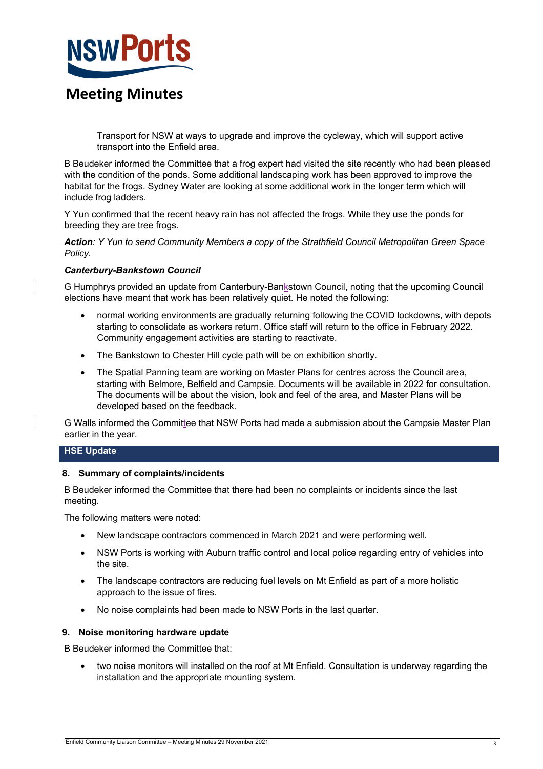

Transport for NSW at ways to upgrade and improve the cycleway, which will support active transport into the Enfield area.

B Beudeker informed the Committee that a frog expert had visited the site recently who had been pleased with the condition of the ponds. Some additional landscaping work has been approved to improve the habitat for the frogs. Sydney Water are looking at some additional work in the longer term which will include frog ladders.

Y Yun confirmed that the recent heavy rain has not affected the frogs. While they use the ponds for breeding they are tree frogs.

*Action: Y Yun to send Community Members a copy of the Strathfield Council Metropolitan Green Space Policy.*

## *Canterbury-Bankstown Council*

G Humphrys provided an update from Canterbury-Bankstown Council, noting that the upcoming Council elections have meant that work has been relatively quiet. He noted the following:

- normal working environments are gradually returning following the COVID lockdowns, with depots starting to consolidate as workers return. Office staff will return to the office in February 2022. Community engagement activities are starting to reactivate.
- The Bankstown to Chester Hill cycle path will be on exhibition shortly.
- The Spatial Panning team are working on Master Plans for centres across the Council area, starting with Belmore, Belfield and Campsie. Documents will be available in 2022 for consultation. The documents will be about the vision, look and feel of the area, and Master Plans will be developed based on the feedback.

G Walls informed the Committee that NSW Ports had made a submission about the Campsie Master Plan earlier in the year.

## **HSE Update**

## **8. Summary of complaints/incidents**

B Beudeker informed the Committee that there had been no complaints or incidents since the last meeting.

The following matters were noted:

- New landscape contractors commenced in March 2021 and were performing well.
- NSW Ports is working with Auburn traffic control and local police regarding entry of vehicles into the site.
- The landscape contractors are reducing fuel levels on Mt Enfield as part of a more holistic approach to the issue of fires.
- No noise complaints had been made to NSW Ports in the last quarter.

## **9. Noise monitoring hardware update**

B Beudeker informed the Committee that:

• two noise monitors will installed on the roof at Mt Enfield. Consultation is underway regarding the installation and the appropriate mounting system.